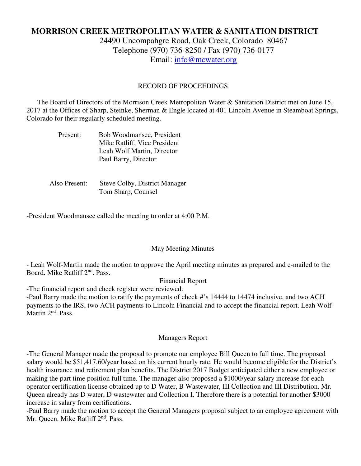# **MORRISON CREEK METROPOLITAN WATER & SANITATION DISTRICT**

24490 Uncompahgre Road, Oak Creek, Colorado 80467 Telephone (970) 736-8250 / Fax (970) 736-0177 Email: info@mcwater.org

#### RECORD OF PROCEEDINGS

 The Board of Directors of the Morrison Creek Metropolitan Water & Sanitation District met on June 15, 2017 at the Offices of Sharp, Steinke, Sherman & Engle located at 401 Lincoln Avenue in Steamboat Springs, Colorado for their regularly scheduled meeting.

| Present: | Bob Woodmansee, President    |
|----------|------------------------------|
|          | Mike Ratliff, Vice President |
|          | Leah Wolf Martin, Director   |
|          | Paul Barry, Director         |

 Also Present: Steve Colby, District Manager Tom Sharp, Counsel

-President Woodmansee called the meeting to order at 4:00 P.M.

#### May Meeting Minutes

- Leah Wolf-Martin made the motion to approve the April meeting minutes as prepared and e-mailed to the Board. Mike Ratliff 2nd. Pass.

Financial Report

-The financial report and check register were reviewed.

-Paul Barry made the motion to ratify the payments of check #'s 14444 to 14474 inclusive, and two ACH payments to the IRS, two ACH payments to Lincoln Financial and to accept the financial report. Leah Wolf-Martin 2<sup>nd</sup>. Pass.

## Managers Report

-The General Manager made the proposal to promote our employee Bill Queen to full time. The proposed salary would be \$51,417.60/year based on his current hourly rate. He would become eligible for the District's health insurance and retirement plan benefits. The District 2017 Budget anticipated either a new employee or making the part time position full time. The manager also proposed a \$1000/year salary increase for each operator certification license obtained up to D Water, B Wastewater, III Collection and III Distribution. Mr. Queen already has D water, D wastewater and Collection I. Therefore there is a potential for another \$3000 increase in salary from certifications.

-Paul Barry made the motion to accept the General Managers proposal subject to an employee agreement with Mr. Queen. Mike Ratliff 2<sup>nd</sup>. Pass.